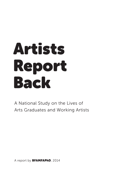# Artists Report Back

A National Study on the Lives of Arts Graduates and Working Artists

A report by BFAMFAPhD, 2014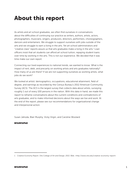# About this report

As artists and art school graduates, we often find ourselves in conversations about the difficulties of continuing our practice as writers, authors, artists, actors, photographers, musicians, singers, producers, directors, performers, choreographers, dancers and entertainers. We struggle to support ourselves with jobs outside of the arts and we struggle to earn a living in the arts. Yet art school administrators and "creative class" reports assure us that arts graduates make a living in the arts. $1$  Loan officers insist that art students can afford art school tuition, repaying student loans over time by working in the arts. This is not our experience. We decided that it was time make our own report.

Connecting our lived experiences to national trends, we wanted to know: What is the impact of rent, debt, and precarity on working artists and arts graduates nationally? How many of us are there? If we are not supporting ourselves as working artists, what jobs do we work?

We looked at artists' demographics, occupations, educational attainment, field of degree, and earnings as recorded by the Census Bureau's 2012 American Community Survey (ACS). The ACS is the largest survey that collects data about artists, surveying roughly 1 out of every 100 persons in the nation. With this data in hand, we made this report to reframe conversations about the current conditions and contradictions of arts graduates, and to make informed decisions about the ways we live and work. At the end of the report, please see our recommendations for organizational change and interpersonal action.

Susan Jahoda, Blair Murphy, Vicky Virgin, and Caroline Woolard

BFAMFAPhD

<sup>1</sup> Creative Economy Report. Otis College of Art and Design, 2013. Web. <http://www.otis.edu/creative-economy-report>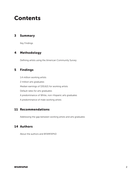## Contents

### 3 Summary

Key Findings

#### 4 Methodology

Defining artists using the American Community Survey

#### 5 Findings

1.4 million working artists 2 million arts graduates Median earnings of \$30,621 for working artists Default rates for arts graduates A predominance of White, non-Hispanic arts graduates A predominance of male working artists

## 11 Recommendations

Addressing the gap between working artists and arts graduates

#### 14 Authors

About the authors and BFAMFAPhD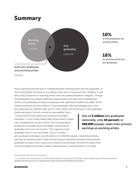## Summary



#### 10% of arts graduates are working artists

#### 16% of working artists are arts graduates

Most surprising was the lack of overlap between working artists and arts graduates. In the United States, 40 percent of working artists do not have bachelor's degrees in any field. Only 16 percent of working artists have arts-related bachelor's degrees. Though arts graduates may acquire additional opportunities and skills from attending art school, arts graduates are likely to graduate with significant student loan debt, which makes working as an artist difficult, if not impossible. We acknowledge that some arts graduates are satisfied with work in other fields, but the fantasy of arts graduates'

future earnings in the arts should be discredited. Since 7 of the top 10 most expensive institutions of higher education in the United States (after financial aid is taken into consideration) are art schools, the corresponding proportion of student loans are higher than those for graduates from non-art schools.<sup>2</sup> The majority of arts graduates work in non-arts fields. Out of 2 million

Out of 2 million arts graduates nationally, only 10 percent, or 200,000 people, make their primary earnings as working artists.

arts graduates nationally, only 10 percent, or 200,000 people, make their primary earnings as working artists. Given the discrepancy between working artists and arts graduates, as well as the rising cost of tuition at art schools, we end this report with recommendations for policy makers, administrators, and educators in our field.

<sup>2</sup> How Does Your School Rank?. The Wall Street Journal, February 19. 2013. Web. <http://online.wsj.com/news/interactive/ BORROW021620130216?ref=SB10001424127887324432004578306610055834952.>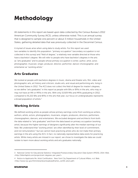# Methodology

All statements in this report are based upon data collected by the Census Bureau's 2012 American Community Survey (ACS), unless otherwise noted. This is an annual survey that is designed to sample one percent or about 3 million households in the United States, gathering detailed data that was previously collected in the Decennial Census.

A myriad of issues arise when using data to study artists. For this report we used two variables to identify this population: "primary occupation" (secondary occupation is not collected in this survey) and "field of degree," a relatively new variable directed at those who have a bachelor's degree. We will refer to people who have bachelor's degrees in the arts as "arts graduates" and to people whose primary occupation is writer, author, artist, actor, photographer, musician, singer, producer, director, performer, dancer choreographer, and entertainer as "working artists."

## Arts Graduates

We looked at people with bachelors degrees in music, drama and theater arts, film, video and photographic arts, art history and criticism, studio arts, and visual and performing arts, living in the United States in 2012. The ACS does not collect the field of degree for master's degrees, so we define "arts graduates" in this report as people with BAs or BFAs in the arts, who may or may not have an MA or MFAs in the arts. With only 15,929 MAs and MFAs graduating in 2012, compared to 91,222 BAs and BFAs in the arts that year, our focus on undergraduates represents a broad population of artists.<sup>3</sup>

#### Working Artists

We defined working artists as people whose primary earnings come from working as writers, authors, artists, actors, photographers, musicians, singers, producers, directors, performers, choreographers, dancers, and entertainers. We excluded designers and architects from both the data related to "arts graduates" and from the data based on primary occupation (working artist), because the higher earnings of designers significantly alter the median earnings of our field. We understand that "working artists" are often identified by their level of commitment, and not remuneration,<sup>4</sup> but we cannot track practicing artists who do not make their primary earnings in the arts using the ACS. In fact, no nationally representative data exists for practicing artists. While many artists are missed in our report, we chose to investigate the data we could isolate to learn more about working artists and arts graduates nationally.

<sup>3</sup> National Center for Educational Statistics' Integrated Postsecondary Education Data System (IPEDS), 2014. Web. <http://bfamfaphd.com/projects/art-degrees-per-year/>.

<sup>4</sup> Notice to Applicants Re: Artist Certification. New York City Department of Cultural Affairs, n.d. Web. <http://www.nyc.gov/html/dcla/downloads/pdf/artist\_certific ation.pdf>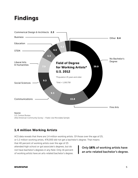# Findings



U.S. Census Bureau 2012 American Community Survey – Public Use Microdata Sample

## 1.4 million Working Artists

ACS data reveals that there are 1.4 million working artists. Of those over the age of 25, or 1.2 million working artists, 476,000 did not get a bachelor's degree. That means

that 40 percent of working artists over the age of 25 attended high school or got associate's degrees, but do not have bachelor's degrees in any field. Only 16 percent of working artists have an arts-related bachelor's degree.

Only 16% of working artists have an arts-related bachelor's degree.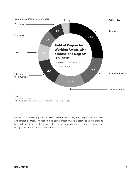

U.S. Census Bureau 2012 American Community Survey – Public Use Microdata Sample

Of the 715,000 working artists who do have bachelor's degrees, only 27 percent have arts-related degrees. The rest studied communication, social sciences, liberal arts and humanities, science, technology, math, engineering, education, business, commercial design and architecture, or another field.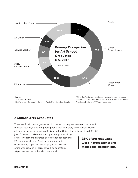

Source: U.S. Census Bureau 2012 American Community Survey – Public Use Microdata Sample

\*Other Professionals include such occupations as Managers, Accountants, and Chief Executives. Misc. Creative Fields include Architects, Designers, TV Announcers, etc.

#### 2 Million Arts Graduates

There are 2 million arts graduates with bachelor's degrees in music, drama and theater arts, film, video and photographic arts, art history and criticism, studio arts, and visual or performing arts living in the United States. Fewer than 200,000, just 10 percent, make their primary earnings as working artists. The rest are dispersed across other occupations: 23 percent work in professional and managerial occupations, 17 percent are employed as sales and office workers, and 17 percent work as educators. 14 percent are not in the labor force at all.

23% of arts graduates work in professional and managerial occupations.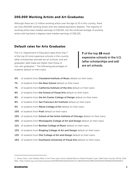#### 200,000 Working Artists and Art Graduates

Although there are 1.2 million working artists over the age of 25 in this country, there are only 200,000 working artists with arts related bachelors degrees. The majority of working artists have median earnings of \$30,621, but the small percentage of working artists with bachelor's degrees have median earnings of \$36,105.

#### Default rates for Arts Graduates

The U.S. Department of Education data show that 7 of the top 10 most expensive schools in this country (after scholarships and aid) are art schools, and arts graduates' debt loads are higher than those of non-arts graduates.<sup>5</sup> The following percentages of students default on their loans.

**7** of the top 10 most expensive schools in the U.S. (after scholarships and aid) are art schools.

- 6% of students from Cleveland Institute of Music default on their loans.
- 7% of students from the New School default on their loans.
- 7% of students from California Institute of the Arts default on their loans.
- 8% of students from the School of Visual Arts default on their loans.
- 8% of students from the Art Center College of Design default on their loans.
- 8% of students from San Francisco Art Institute default on their loans.
- 9% of students from Maine College of Art default on their loans.
- 10% of students from Pratt default on their loans.
- 10% of students from School of the Artist Institute of Chicago default on their loans.
- 10% of students from Minneapolis College of Art and Design default on their loans.
- 11% of students from Berklee College of Music default on their loans.
- 13% of students from Ringling College of Art and Design default on their loans.
- 13% of students from Otis College of Art and Design default on their loans.
- 16% of students from Southwest University of Visual Arts default on their loans.

<sup>5</sup> Simon, Ruth. Loan Defaults Refer to the Three-year Cohort Default Rate on Federal Student Loans. Wall Street Journal, 18 Feb. 2013. Web. <http://online.wsj.com/news/interactive/BORROW021620130216?ref=SB10001424127887324432004578306610055834952>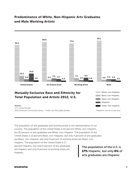## Predominance of White, Non-Hispanic Arts Graduates and Male Working Artists



U.S. Census Bureau 2012 American Community Survey – Public Use Microdata Sample

The population of arts graduates and working artists is not representative of our country. The population of the United States is 63 percent White, non-Hispanic, but 81 percent of arts graduates are White, non-Hispanic. The population of the United States is 12 percent Black, non-Hispanic, but only 4 percent of arts graduates are Black, non-Hispanic and only 8 percent of working artists are Black, non-

Hispanic. The population of the United States is 17 percent Hispanic, but only 6 percent of arts graduates are Hispanic and only 8 percent of working artists are Hispanic.

The population of the U.S. is 17% Hispanic, but only 6% of arts graduates are Hispanic.

\*Hispanics can be of any race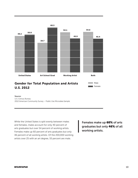

#### Source:

U.S. Census Bureau 2012 American Community Survey – Public Use Microdata Sample

While the United States is split evenly between males and females, males account for only 40 percent of arts graduates but over 54 percent of working artists. Females make up 60 percent of arts graduates but only 46 percent of all working artists. Of the 200,000 working artists over 25 with an art degree, 55 percent are male.

Females make up 60% of arts graduates but only 46% of all working artists.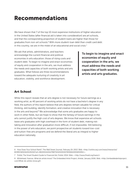# Recommendations

We have shown that 7 of the top 10 most expensive institutions of higher education in the United States (after financial aid is taken into consideration) are art schools, and that the corresponding proportion of student loans are higher than those for graduates from non-art schools.<sup>6</sup> With more student-loan debt than credit card debt in this country, we are in the midst of an educational and social crisis.<sup>7</sup>

We ask that artists, administrators, and teachers acknowledge the current financial and political economies in arts education: those of rising costs and student debt. To begin to imagine and enact economies of equity and cooperation in the arts, we must address the needs and capacities of both working artists and arts graduates. What follows are three recommendations toward the adequate nurturing of creativity in art education, visibility, and workforce development.

To begin to imagine and enact economies of equity and cooperation in the arts, we must address the needs and capacities of both working artists and arts graduates.

## Art School

While this report reveals that an arts degree is not necessary for future earnings as a working artist, as 40 percent of working artists do not have a bachelor's degree in any field, the authors of this report believe that arts degrees remain valuable for critical thinking, skill building, identify formation, and creative innovation that is necessary in the arts and beyond. $8$  We acknowledge that some arts graduates are happy to work in other fields, but we hope to show that the fantasy of future earnings in the arts cannot justify the high cost of arts degrees. We know that expensive art schools leave arts graduates with high overhead in the form of student debt, making risktaking and innovation after graduation more difficult, if not impossible. Still believing in the power of arts education, we point prospective art students toward low-cost and tuition-free arts programs and we defend the liberal arts as integral to higher education nationally.

<sup>6</sup> How Does Your School Rank?. The Wall Street Journal, February 19. 2013. Web. <http://online.wsj.com/news/interactive/ BORROW021620130216?ref=SB10001424127887324432004578306610055834952.>

<sup>7</sup> FinAid, The Smart Student Guide to Financial Aid. FinAid, 2014. Web. < http://www.finaid.org/loans/>

<sup>8</sup> Whitehead, Frances. What do artists know? The Embedded Artist Project, Artetal, January 2006. Web. <http://embeddedartistproject. com/What-do-artists-know.gif>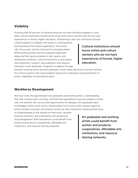#### Visibility

Knowing that 40 percent of working artists do not have bachelors degree's in any field, cultural institutions should honor artists and culture workers who do not have experiences of formal, higher education. Philanthropic and civic institutions should

create programs to address the needs of working artists, looking beyond the written application, the lecture hall, the journal, and the museum for emerging talent. While working artists and arts graduates legitimate ideas and find rigorous debate in their spaces and distribution networks, cultural institutions could require that presenters, curators, and publishers look beyond networks of arts graduates. Programs to address the gap

Cultural institutions should honor artists and culture workers who do not have experiences of formal, higher education.

between working artists and arts graduates could create informal or formal channels for communication and could establish policies for evaluation and presentation of artists, regardless of educational status.

#### Workforce Development

We must close the gap between arts graduates and working artists, understanding that little overlap exists currently, and that both populations have key insights to share with one another. We can provide opportunities for dialogue. Arts graduates have knowledge of elite social norms, shared jargon from lecture halls, shared regard for artists named in journals, and shared contacts at elite institutions. Working artists have

an understanding of the market for their work, valuable business networks, and a familiarity with production and management. Both populations could benefit from worker and producer cooperatives, affordable arts institutions, and resource sharing networks.

Art graduates and working artists could benefit from worker and producer cooperatives, affordable arts institutions, and resource sharing networks.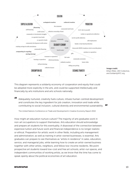

Image credit: Ethan Miller, JED Collective, and SolidarityNYC.org

"

This diagram represents a solidarity economy of cooperation and equity that could be adopted more explicitly in the arts, and could be supported intellectually and financially by arts institutions and arts schools nationally.

Adequately nurtured, creativity fuels culture, infuses human-centred development and constitutes the key ingredient for job creation, innovation and trade while contributing to social inclusion, cultural diversity and environmental sustainability. "

The United Nations Conference on Trade and Development's Creative Economy Report 2010

How might art education nurture culture? The majority of arts graduates work in non-art occupations to support themselves. Arts education should acknowledge and prepare art students for this eventuality. A disavowal of the connection between expensive tuition and future work and financial independence is no longer realistic or ethical. Preparation for artistic work in other fields, including arts management and administration, as well as training in artist-owned businesses, is essential. Arts graduates can prepare to see themselves as "artists in residence" in sales, education, service, and managerial jobs, while learning how to create an artist-owned business together with other artists, neighbors, and fellow low-income residents. We point prospective art students toward low-cost and free art schools, artist-run spaces, and independent communities of working artists, as we know that the time has come to speak openly about the political economies of art education.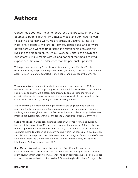## Authors

Concerned about the impact of debt, rent, and precarity on the lives of creative people, BFAMFAPhD makes media and connects viewers to existing organizing work. We are artists, educators, curators, art historians, designers, makers, performers, statisticians, and software developers who want to understand the relationship between our lives and the bigger picture. On our website, visitors can download our datasets, make media with us, and connect that media to lived experience. We aim to underscore that the personal is political.

This report was written by Susan Jahoda, Blair Murphy, and Caroline Woolard, overseen by Vicky Virgin, a demographic analyst, edited by Caron Atlas, Julian Boilen, Adam Forman, Tamara Greenfield, Stephen Korns, and designed by Rich Watts.

Vicky Virgin is a demographic analyst, dancer, and choreographer. In 1987, Virgin moved to NYC to dance, supporting herself with the B.S. she received in economics. Her skills as an analyst were essential to this study, and illustrate the range of expertise that artists develop to support their creative work. In the meantime, she continues to live in NYC, creating art and crunching numbers.

**Julian Boilen** is a creative technologist and software engineer who is always searching for the intersection of technology, creativity, art, and politics. Currently studying software engineering at the Rochester Institute of Technology, he has also interned at Squarespace, Siteworx, and for the Democratic National Committee.

Susan Jahoda is an artist, organizer and teacher who lives in NYC and currently teaches at the University of Massachusetts, Amherst. A member of three collectives, the Pedagogy Group, BFAMFAPhD, and NYCTBD, she is working toward developing equitable methods of teaching and commoning within the context of arts education. Jahoda's upcoming project, in collaboration with her daughter Emma Jahoda-Brown, Documents from the Greenham Common Women's Peace Camp, will open at Interference Archive in December 2014.

Blair Murphy is a cultural worker based in New York City with experience as a curator, writer, and non-profit arts administrator. Before moving to New York, she spent seven years in Washington, DC, working as an administrative jack-of-all-trades for various arts organizations. She holds a BFA from Maryland Institute College of Art